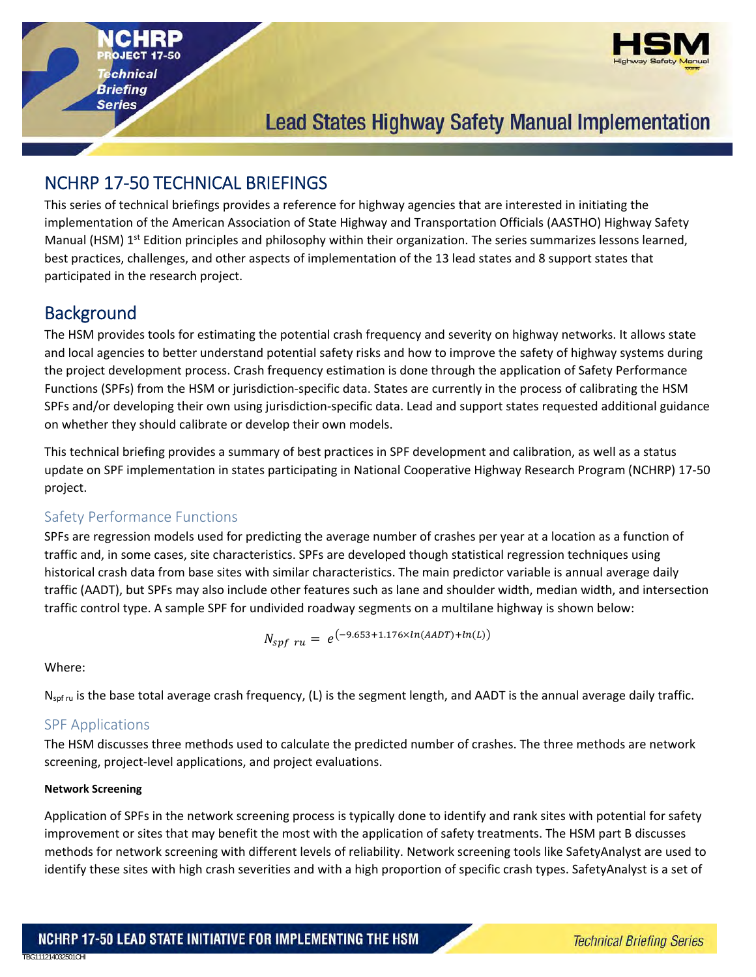**Series** 



# **Lead States Highway Safety Manual Implementation**

# NCHRP 17‐50 TECHNICAL BRIEFINGS

This series of technical briefings provides a reference for highway agencies that are interested in initiating the implementation of the American Association of State Highway and Transportation Officials (AASTHO) Highway Safety Manual (HSM) 1<sup>st</sup> Edition principles and philosophy within their organization. The series summarizes lessons learned, best practices, challenges, and other aspects of implementation of the 13 lead states and 8 support states that participated in the research project.

## **Background**

The HSM provides tools for estimating the potential crash frequency and severity on highway networks. It allows state and local agencies to better understand potential safety risks and how to improve the safety of highway systems during the project development process. Crash frequency estimation is done through the application of Safety Performance Functions (SPFs) from the HSM or jurisdiction‐specific data. States are currently in the process of calibrating the HSM SPFs and/or developing their own using jurisdiction-specific data. Lead and support states requested additional guidance on whether they should calibrate or develop their own models.

This technical briefing provides a summary of best practices in SPF development and calibration, as well as a status update on SPF implementation in states participating in National Cooperative Highway Research Program (NCHRP) 17‐50 project.

### Safety Performance Functions

SPFs are regression models used for predicting the average number of crashes per year at a location as a function of traffic and, in some cases, site characteristics. SPFs are developed though statistical regression techniques using historical crash data from base sites with similar characteristics. The main predictor variable is annual average daily traffic (AADT), but SPFs may also include other features such as lane and shoulder width, median width, and intersection traffic control type. A sample SPF for undivided roadway segments on a multilane highway is shown below:

$$
N_{spf\ ru} = e^{(-9.653 + 1.176 \times ln(AADT) + ln(L))}
$$

Where:

TBG111214032501CHI

 $N_{\text{soft}}$  is the base total average crash frequency, (L) is the segment length, and AADT is the annual average daily traffic.

### SPF Applications

The HSM discusses three methods used to calculate the predicted number of crashes. The three methods are network screening, project‐level applications, and project evaluations.

### **Network Screening**

Application of SPFs in the network screening process is typically done to identify and rank sites with potential for safety improvement or sites that may benefit the most with the application of safety treatments. The HSM part B discusses methods for network screening with different levels of reliability. Network screening tools like SafetyAnalyst are used to identify these sites with high crash severities and with a high proportion of specific crash types. SafetyAnalyst is a set of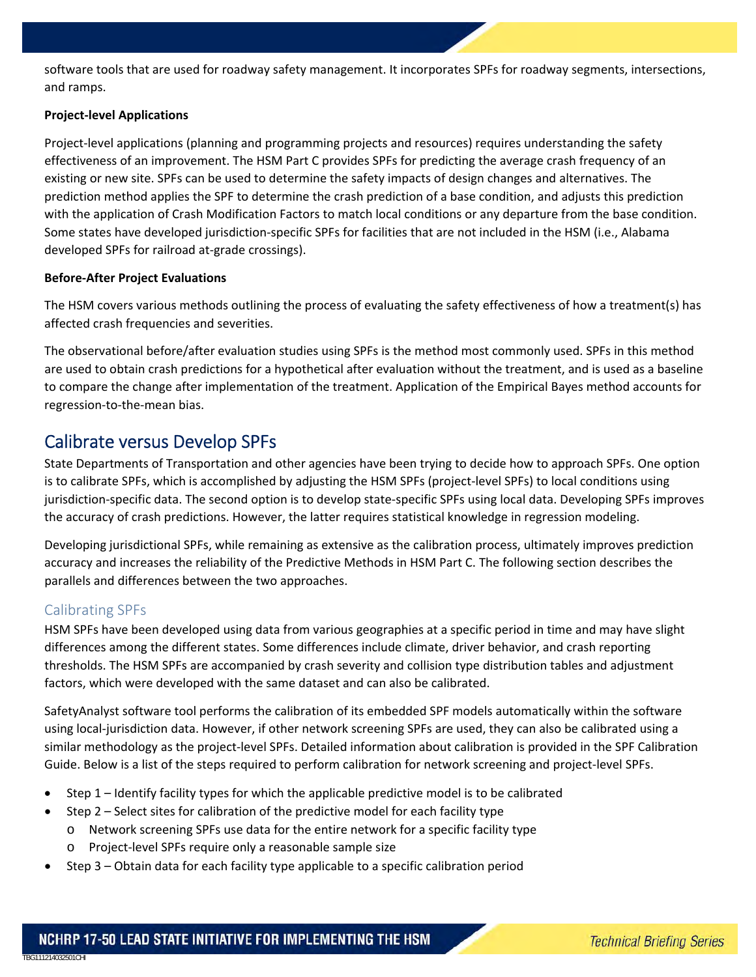software tools that are used for roadway safety management. It incorporates SPFs for roadway segments, intersections, and ramps.

#### **Project‐level Applications**

Project-level applications (planning and programming projects and resources) requires understanding the safety effectiveness of an improvement. The HSM Part C provides SPFs for predicting the average crash frequency of an existing or new site. SPFs can be used to determine the safety impacts of design changes and alternatives. The prediction method applies the SPF to determine the crash prediction of a base condition, and adjusts this prediction with the application of Crash Modification Factors to match local conditions or any departure from the base condition. Some states have developed jurisdiction‐specific SPFs for facilities that are not included in the HSM (i.e., Alabama developed SPFs for railroad at‐grade crossings).

#### **Before‐After Project Evaluations**

The HSM covers various methods outlining the process of evaluating the safety effectiveness of how a treatment(s) has affected crash frequencies and severities.

The observational before/after evaluation studies using SPFs is the method most commonly used. SPFs in this method are used to obtain crash predictions for a hypothetical after evaluation without the treatment, and is used as a baseline to compare the change after implementation of the treatment. Application of the Empirical Bayes method accounts for regression‐to‐the‐mean bias.

### Calibrate versus Develop SPFs

State Departments of Transportation and other agencies have been trying to decide how to approach SPFs. One option is to calibrate SPFs, which is accomplished by adjusting the HSM SPFs (project-level SPFs) to local conditions using jurisdiction-specific data. The second option is to develop state-specific SPFs using local data. Developing SPFs improves the accuracy of crash predictions. However, the latter requires statistical knowledge in regression modeling.

Developing jurisdictional SPFs, while remaining as extensive as the calibration process, ultimately improves prediction accuracy and increases the reliability of the Predictive Methods in HSM Part C. The following section describes the parallels and differences between the two approaches.

### Calibrating SPFs

TBG111214032501CHI

HSM SPFs have been developed using data from various geographies at a specific period in time and may have slight differences among the different states. Some differences include climate, driver behavior, and crash reporting thresholds. The HSM SPFs are accompanied by crash severity and collision type distribution tables and adjustment factors, which were developed with the same dataset and can also be calibrated.

SafetyAnalyst software tool performs the calibration of its embedded SPF models automatically within the software using local-jurisdiction data. However, if other network screening SPFs are used, they can also be calibrated using a similar methodology as the project-level SPFs. Detailed information about calibration is provided in the SPF Calibration Guide. Below is a list of the steps required to perform calibration for network screening and project-level SPFs.

- Step 1 Identify facility types for which the applicable predictive model is to be calibrated
- Step 2 Select sites for calibration of the predictive model for each facility type
	- o Network screening SPFs use data for the entire network for a specific facility type
	- o Project‐level SPFs require only a reasonable sample size
- Step 3 Obtain data for each facility type applicable to a specific calibration period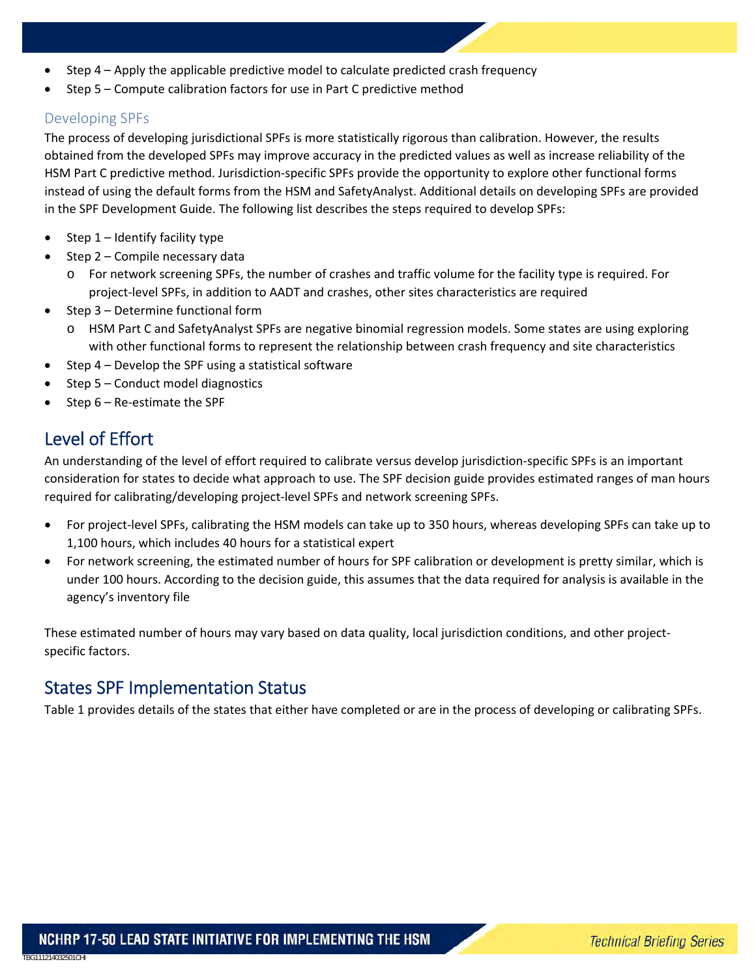- Step 4 Apply the applicable predictive model to calculate predicted crash frequency
- Step 5 Compute calibration factors for use in Part C predictive method

### Developing SPFs

The process of developing jurisdictional SPFs is more statistically rigorous than calibration. However, the results obtained from the developed SPFs may improve accuracy in the predicted values as well as increase reliability of the HSM Part C predictive method. Jurisdiction‐specific SPFs provide the opportunity to explore other functional forms instead of using the default forms from the HSM and SafetyAnalyst. Additional details on developing SPFs are provided in the SPF Development Guide. The following list describes the steps required to develop SPFs:

- Step 1 Identify facility type
- $\bullet$  Step 2 Compile necessary data
	- o For network screening SPFs, the number of crashes and traffic volume for the facility type is required. For project-level SPFs, in addition to AADT and crashes, other sites characteristics are required
- Step 3 Determine functional form
	- o HSM Part C and SafetyAnalyst SPFs are negative binomial regression models. Some states are using exploring with other functional forms to represent the relationship between crash frequency and site characteristics
- Step 4 Develop the SPF using a statistical software
- $\bullet$  Step 5 Conduct model diagnostics
- Step 6 Re‐estimate the SPF

## Level of Effort

TBG111214032501CHI

An understanding of the level of effort required to calibrate versus develop jurisdiction‐specific SPFs is an important consideration for states to decide what approach to use. The SPF decision guide provides estimated ranges of man hours required for calibrating/developing project‐level SPFs and network screening SPFs.

- For project-level SPFs, calibrating the HSM models can take up to 350 hours, whereas developing SPFs can take up to 1,100 hours, which includes 40 hours for a statistical expert
- For network screening, the estimated number of hours for SPF calibration or development is pretty similar, which is under 100 hours. According to the decision guide, this assumes that the data required for analysis is available in the agency's inventory file

These estimated number of hours may vary based on data quality, local jurisdiction conditions, and other project‐ specific factors.

## States SPF Implementation Status

Table 1 provides details of the states that either have completed or are in the process of developing or calibrating SPFs.